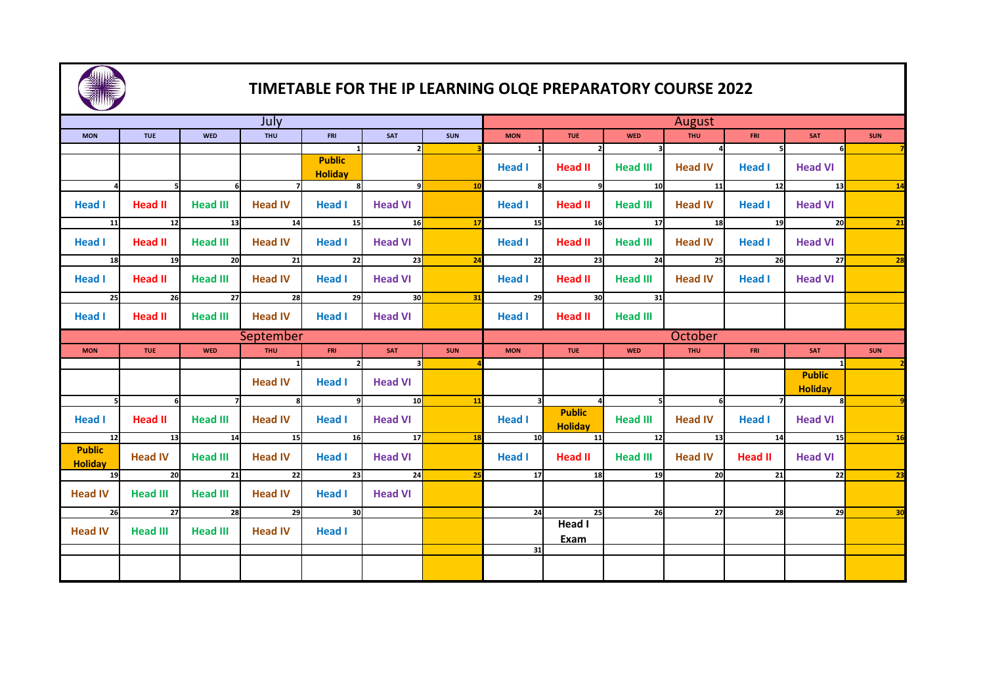

## **TIMETABLE FOR THE IP LEARNING OLQE PREPARATORY COURSE 2022**

| $\overline{\phantom{a}}$        |                             |                 |                 |                                 |                         |            |                 |                                 |                   |                               |                 |                                 |                 |  |  |
|---------------------------------|-----------------------------|-----------------|-----------------|---------------------------------|-------------------------|------------|-----------------|---------------------------------|-------------------|-------------------------------|-----------------|---------------------------------|-----------------|--|--|
| July                            |                             |                 |                 |                                 |                         |            |                 | August                          |                   |                               |                 |                                 |                 |  |  |
| <b>MON</b>                      | <b>TUE</b>                  | <b>WED</b>      | <b>THU</b>      | <b>FRI</b>                      | <b>SAT</b>              | <b>SUN</b> | <b>MON</b>      | <b>TUE</b>                      | <b>WED</b>        | <b>THU</b>                    | FRI             | <b>SAT</b>                      | <b>SUN</b>      |  |  |
|                                 |                             |                 |                 | -11                             | $\mathbf{z}$            |            |                 |                                 |                   | $\overline{\mathbf{3}}$<br>ΔI | 5               | 6                               |                 |  |  |
|                                 |                             |                 |                 | <b>Public</b><br><b>Holiday</b> |                         |            | <b>Head I</b>   | Head II                         | <b>Head III</b>   | <b>Head IV</b>                | <b>Head I</b>   | <b>Head VI</b>                  |                 |  |  |
|                                 | - 51                        | - 6 I           | $\overline{z}$  |                                 | $\overline{9}$          | 10         | -81             |                                 | $\boxed{9}$ 10 11 |                               | 12              | $\overline{13}$                 | $\overline{14}$ |  |  |
| <b>Head I</b>                   | <b>Head II</b>              | <b>Head III</b> | <b>Head IV</b>  | Head I                          | <b>Head VI</b>          |            | <b>Head I</b>   | Head II                         | Head III          | <b>Head IV</b>                | <b>Head I</b>   | <b>Head VI</b>                  |                 |  |  |
| 11                              | $\overline{\phantom{1}}$ 12 | 13              | 14              | $\overline{\phantom{1}}$ 15     | $\overline{16}$         | 17         | 15              |                                 | 16                | 17<br>18                      |                 | 19<br>20                        | 21              |  |  |
| <b>Head I</b>                   | <b>Head II</b>              | <b>Head III</b> | <b>Head IV</b>  | Head I                          | <b>Head VI</b>          |            | <b>Head I</b>   | Head II                         | Head III          | Head IV                       | Head I          | <b>Head VI</b>                  |                 |  |  |
| 18                              | 19                          |                 | 20<br>21        | 22                              | 23                      | 24         | 22              |                                 | 23                | 25<br>24                      |                 | 26<br>27                        | 28              |  |  |
| <b>Head I</b>                   | <b>Head II</b>              | <b>Head III</b> | <b>Head IV</b>  | <b>Head I</b>                   | <b>Head VI</b>          |            | <b>Head I</b>   | <b>Head II</b>                  | <b>Head III</b>   | <b>Head IV</b>                | Head I          | <b>Head VI</b>                  |                 |  |  |
| - 25                            | 26                          | 27              | 28              | 29 I                            | 30                      | 31         | 29              | 30                              | 31                |                               |                 |                                 |                 |  |  |
| Head I                          | <b>Head II</b>              | <b>Head III</b> | <b>Head IV</b>  | <b>Head I</b>                   | <b>Head VI</b>          |            | <b>Head I</b>   | Head II                         | <b>Head III</b>   |                               |                 |                                 |                 |  |  |
|                                 |                             |                 | September       |                                 |                         |            | October         |                                 |                   |                               |                 |                                 |                 |  |  |
| <b>MON</b>                      | <b>TUE</b>                  | <b>WED</b>      | THU <b>T</b>    | FRI                             | SAT                     | <b>SUN</b> | <b>MON</b>      | <b>TUE</b>                      | <b>WED</b>        | <b>THU</b>                    | FRI             | <b>SAT</b>                      | <b>SUN</b>      |  |  |
|                                 |                             |                 | $\overline{1}$  |                                 | $\overline{\mathbf{3}}$ |            |                 |                                 |                   |                               |                 |                                 |                 |  |  |
|                                 |                             |                 | <b>Head IV</b>  | <b>Head I</b>                   | <b>Head VI</b>          |            |                 |                                 |                   |                               |                 | <b>Public</b><br><b>Holiday</b> |                 |  |  |
| 51                              | 6                           | 7               | 8               | 91                              | 10                      | 11         | зΙ              |                                 | - 5 I             | -6 I                          |                 | 8 <sup>1</sup>                  |                 |  |  |
| <b>Head I</b>                   | Head II                     | <b>Head III</b> | <b>Head IV</b>  | <b>Head I</b>                   | <b>Head VI</b>          |            | <b>Head I</b>   | <b>Public</b><br><b>Holiday</b> | <b>Head III</b>   | <b>Head IV</b>                | <b>Head I</b>   | <b>Head VI</b>                  |                 |  |  |
|                                 | $12$ $13$                   |                 | 14 14 15<br>15  | $\overline{16}$                 | $\overline{17}$         | <b>18</b>  | 10 <sup>1</sup> |                                 | 11 1              | 12 12<br>13                   |                 | 14<br>$-15$                     | <b>16</b>       |  |  |
| <b>Public</b><br><b>Holiday</b> | <b>Head IV</b>              | <b>Head III</b> | <b>Head IV</b>  | <b>Head I</b>                   | <b>Head VI</b>          |            | <b>Head I</b>   | <b>Head II</b>                  | Head III          | <b>Head IV</b>                | Head II         | <b>Head VI</b>                  |                 |  |  |
| 19                              | $\overline{20}$             | 21              | $\overline{22}$ | 23                              | $\overline{\text{24}}$  | 25         | 17              | $\overline{18}$                 | 19                | 20                            | $\overline{21}$ | 22                              | 23              |  |  |
| <b>Head IV</b>                  | <b>Head III</b>             | Head III        | <b>Head IV</b>  | <b>Head I</b>                   | <b>Head VI</b>          |            |                 |                                 |                   |                               |                 |                                 |                 |  |  |
| 26                              | 27                          | 28              | 29              | 30                              |                         |            | 24              | 25                              | 26                | 27                            | 28              | 29                              | 30              |  |  |
| <b>Head IV</b>                  | <b>Head III</b>             | <b>Head III</b> | <b>Head IV</b>  | <b>Head I</b>                   |                         |            |                 | Head I<br><b>Exam</b>           |                   |                               |                 |                                 |                 |  |  |
|                                 |                             |                 |                 |                                 |                         |            | 31              |                                 |                   |                               |                 |                                 |                 |  |  |
|                                 |                             |                 |                 |                                 |                         |            |                 |                                 |                   |                               |                 |                                 |                 |  |  |